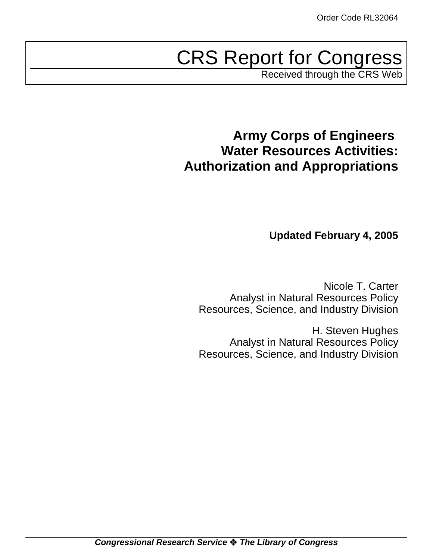# CRS Report for Congress

Received through the CRS Web

# **Army Corps of Engineers Water Resources Activities: Authorization and Appropriations**

**Updated February 4, 2005**

Nicole T. Carter Analyst in Natural Resources Policy Resources, Science, and Industry Division

H. Steven Hughes Analyst in Natural Resources Policy Resources, Science, and Industry Division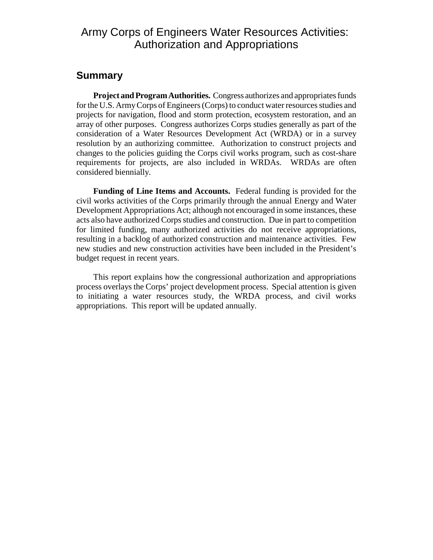### Army Corps of Engineers Water Resources Activities: Authorization and Appropriations

### **Summary**

**Project and Program Authorities.** Congress authorizes and appropriates funds for the U.S. Army Corps of Engineers (Corps) to conduct water resources studies and projects for navigation, flood and storm protection, ecosystem restoration, and an array of other purposes. Congress authorizes Corps studies generally as part of the consideration of a Water Resources Development Act (WRDA) or in a survey resolution by an authorizing committee. Authorization to construct projects and changes to the policies guiding the Corps civil works program, such as cost-share requirements for projects, are also included in WRDAs. WRDAs are often considered biennially.

**Funding of Line Items and Accounts.** Federal funding is provided for the civil works activities of the Corps primarily through the annual Energy and Water Development Appropriations Act; although not encouraged in some instances, these acts also have authorized Corps studies and construction. Due in part to competition for limited funding, many authorized activities do not receive appropriations, resulting in a backlog of authorized construction and maintenance activities. Few new studies and new construction activities have been included in the President's budget request in recent years.

This report explains how the congressional authorization and appropriations process overlays the Corps' project development process. Special attention is given to initiating a water resources study, the WRDA process, and civil works appropriations. This report will be updated annually.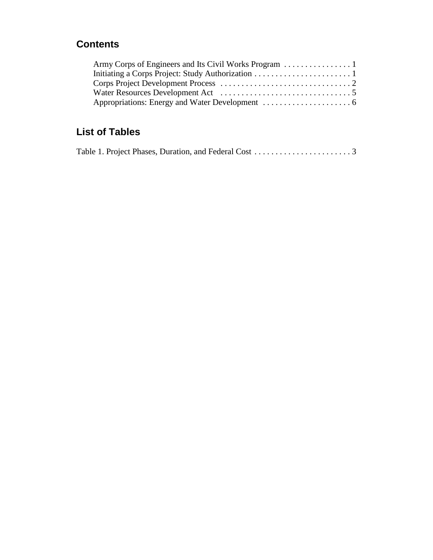### **Contents**

## **List of Tables**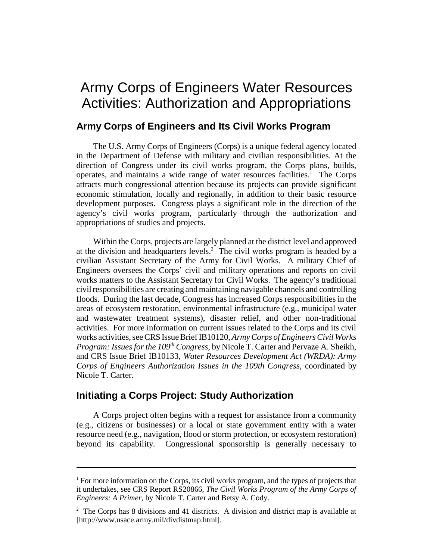# Army Corps of Engineers Water Resources Activities: Authorization and Appropriations

#### **Army Corps of Engineers and Its Civil Works Program**

The U.S. Army Corps of Engineers (Corps) is a unique federal agency located in the Department of Defense with military and civilian responsibilities. At the direction of Congress under its civil works program, the Corps plans, builds, operates, and maintains a wide range of water resources facilities.<sup>1</sup> The Corps attracts much congressional attention because its projects can provide significant economic stimulation, locally and regionally, in addition to their basic resource development purposes. Congress plays a significant role in the direction of the agency's civil works program, particularly through the authorization and appropriations of studies and projects.

Within the Corps, projects are largely planned at the district level and approved at the division and headquarters levels.<sup>2</sup> The civil works program is headed by a civilian Assistant Secretary of the Army for Civil Works. A military Chief of Engineers oversees the Corps' civil and military operations and reports on civil works matters to the Assistant Secretary for Civil Works. The agency's traditional civil responsibilities are creating and maintaining navigable channels and controlling floods. During the last decade, Congress has increased Corps responsibilities in the areas of ecosystem restoration, environmental infrastructure (e.g., municipal water and wastewater treatment systems), disaster relief, and other non-traditional activities. For more information on current issues related to the Corps and its civil works activities, see CRS Issue Brief IB10120, *Army Corps of Engineers Civil Works Program: Issues for the 109<sup>th</sup> Congress*, by Nicole T. Carter and Pervaze A. Sheikh, and CRS Issue Brief IB10133, *Water Resources Development Act (WRDA): Army Corps of Engineers Authorization Issues in the 109th Congress*, coordinated by Nicole T. Carter.

### **Initiating a Corps Project: Study Authorization**

A Corps project often begins with a request for assistance from a community (e.g., citizens or businesses) or a local or state government entity with a water resource need (e.g., navigation, flood or storm protection, or ecosystem restoration) beyond its capability. Congressional sponsorship is generally necessary to

<sup>&</sup>lt;sup>1</sup> For more information on the Corps, its civil works program, and the types of projects that it undertakes, see CRS Report RS20866, *The Civil Works Program of the Army Corps of Engineers: A Primer*, by Nicole T. Carter and Betsy A. Cody.

 $2^2$  The Corps has 8 divisions and 41 districts. A division and district map is available at [http://www.usace.army.mil/divdistmap.html].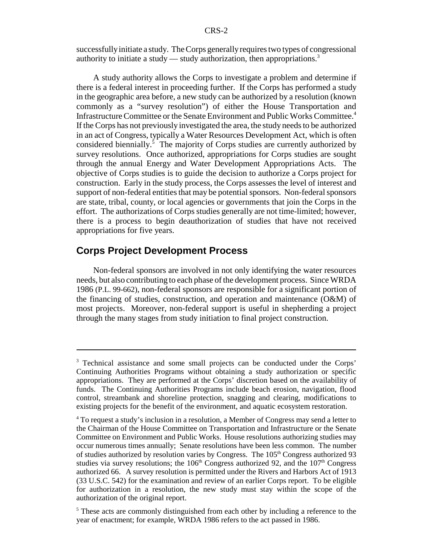successfully initiate a study. The Corps generally requires two types of congressional authority to initiate a study — study authorization, then appropriations.<sup>3</sup>

A study authority allows the Corps to investigate a problem and determine if there is a federal interest in proceeding further. If the Corps has performed a study in the geographic area before, a new study can be authorized by a resolution (known commonly as a "survey resolution") of either the House Transportation and Infrastructure Committee or the Senate Environment and Public Works Committee.4 If the Corps has not previously investigated the area, the study needs to be authorized in an act of Congress, typically a Water Resources Development Act, which is often considered biennially.<sup>5</sup> The majority of Corps studies are currently authorized by survey resolutions. Once authorized, appropriations for Corps studies are sought through the annual Energy and Water Development Appropriations Acts. The objective of Corps studies is to guide the decision to authorize a Corps project for construction. Early in the study process, the Corps assesses the level of interest and support of non-federal entities that may be potential sponsors. Non-federal sponsors are state, tribal, county, or local agencies or governments that join the Corps in the effort. The authorizations of Corps studies generally are not time-limited; however, there is a process to begin deauthorization of studies that have not received appropriations for five years.

### **Corps Project Development Process**

Non-federal sponsors are involved in not only identifying the water resources needs, but also contributing to each phase of the development process. Since WRDA 1986 (P.L. 99-662), non-federal sponsors are responsible for a significant portion of the financing of studies, construction, and operation and maintenance (O&M) of most projects. Moreover, non-federal support is useful in shepherding a project through the many stages from study initiation to final project construction.

<sup>&</sup>lt;sup>3</sup> Technical assistance and some small projects can be conducted under the Corps' Continuing Authorities Programs without obtaining a study authorization or specific appropriations. They are performed at the Corps' discretion based on the availability of funds. The Continuing Authorities Programs include beach erosion, navigation, flood control, streambank and shoreline protection, snagging and clearing, modifications to existing projects for the benefit of the environment, and aquatic ecosystem restoration.

<sup>&</sup>lt;sup>4</sup> To request a study's inclusion in a resolution, a Member of Congress may send a letter to the Chairman of the House Committee on Transportation and Infrastructure or the Senate Committee on Environment and Public Works. House resolutions authorizing studies may occur numerous times annually; Senate resolutions have been less common. The number of studies authorized by resolution varies by Congress. The  $105<sup>th</sup>$  Congress authorized 93 studies via survey resolutions; the  $106<sup>th</sup>$  Congress authorized 92, and the  $107<sup>th</sup>$  Congress authorized 66. A survey resolution is permitted under the Rivers and Harbors Act of 1913 (33 U.S.C. 542) for the examination and review of an earlier Corps report. To be eligible for authorization in a resolution, the new study must stay within the scope of the authorization of the original report.

<sup>&</sup>lt;sup>5</sup> These acts are commonly distinguished from each other by including a reference to the year of enactment; for example, WRDA 1986 refers to the act passed in 1986.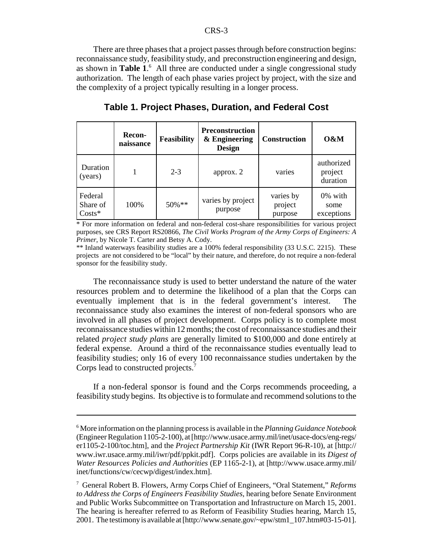There are three phases that a project passes through before construction begins: reconnaissance study, feasibility study, and preconstruction engineering and design, as shown in **Table 1**. 6 All three are conducted under a single congressional study authorization. The length of each phase varies project by project, with the size and the complexity of a project typically resulting in a longer process.

|                                 | <b>Recon-</b><br>naissance | Feasibility | <b>Preconstruction</b><br>& Engineering<br><b>Design</b> | <b>Construction</b>             | $0\&M$                            |
|---------------------------------|----------------------------|-------------|----------------------------------------------------------|---------------------------------|-----------------------------------|
| Duration<br>(years)             |                            | $2 - 3$     | approx. 2                                                | varies                          | authorized<br>project<br>duration |
| Federal<br>Share of<br>$Costs*$ | 100%                       | $50\%**$    | varies by project<br>purpose                             | varies by<br>project<br>purpose | 0% with<br>some<br>exceptions     |

**Table 1. Project Phases, Duration, and Federal Cost**

\* For more information on federal and non-federal cost-share responsibilities for various project purposes, see CRS Report RS20866, *The Civil Works Program of the Army Corps of Engineers: A Primer*, by Nicole T. Carter and Betsy A. Cody.

\*\* Inland waterways feasibility studies are a 100% federal responsibility (33 U.S.C. 2215). These projects are not considered to be "local" by their nature, and therefore, do not require a non-federal sponsor for the feasibility study.

The reconnaissance study is used to better understand the nature of the water resources problem and to determine the likelihood of a plan that the Corps can eventually implement that is in the federal government's interest. The reconnaissance study also examines the interest of non-federal sponsors who are involved in all phases of project development. Corps policy is to complete most reconnaissance studies within 12 months; the cost of reconnaissance studies and their related *project study plans* are generally limited to \$100,000 and done entirely at federal expense. Around a third of the reconnaissance studies eventually lead to feasibility studies; only 16 of every 100 reconnaissance studies undertaken by the Corps lead to constructed projects.<sup>7</sup>

If a non-federal sponsor is found and the Corps recommends proceeding, a feasibility study begins. Its objective is to formulate and recommend solutions to the

<sup>6</sup> More information on the planning process is available in the *Planning Guidance Notebook* (Engineer Regulation 1105-2-100), at [http://www.usace.army.mil/inet/usace-docs/eng-regs/ er1105-2-100/toc.htm], and the *Project Partnership Kit* (IWR Report 96-R-10), at [http:// www.iwr.usace.army.mil/iwr/pdf/ppkit.pdf]. Corps policies are available in its *Digest of Water Resources Policies and Authorities* (EP 1165-2-1), at [http://www.usace.army.mil/ inet/functions/cw/cecwp/digest/index.htm].

<sup>7</sup> General Robert B. Flowers, Army Corps Chief of Engineers, "Oral Statement," *Reforms to Address the Corps of Engineers Feasibility Studies*, hearing before Senate Environment and Public Works Subcommittee on Transportation and Infrastructure on March 15, 2001. The hearing is hereafter referred to as Reform of Feasibility Studies hearing, March 15, 2001. The testimony is available at [http://www.senate.gov/~epw/stm1\_107.htm#03-15-01].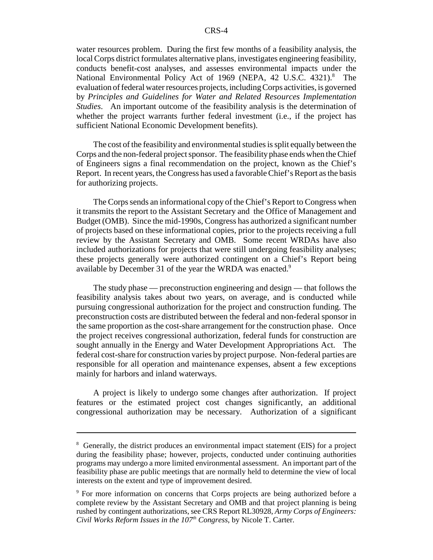water resources problem. During the first few months of a feasibility analysis, the local Corps district formulates alternative plans, investigates engineering feasibility, conducts benefit-cost analyses, and assesses environmental impacts under the National Environmental Policy Act of 1969 (NEPA, 42 U.S.C. 4321).<sup>8</sup> The evaluation of federal water resources projects, including Corps activities, is governed by *Principles and Guidelines for Water and Related Resources Implementation Studies*. An important outcome of the feasibility analysis is the determination of whether the project warrants further federal investment (i.e., if the project has sufficient National Economic Development benefits).

The cost of the feasibility and environmental studies is split equally between the Corps and the non-federal project sponsor. The feasibility phase ends when the Chief of Engineers signs a final recommendation on the project, known as the Chief's Report. In recent years, the Congress has used a favorable Chief's Report as the basis for authorizing projects.

The Corps sends an informational copy of the Chief's Report to Congress when it transmits the report to the Assistant Secretary and the Office of Management and Budget (OMB). Since the mid-1990s, Congress has authorized a significant number of projects based on these informational copies, prior to the projects receiving a full review by the Assistant Secretary and OMB. Some recent WRDAs have also included authorizations for projects that were still undergoing feasibility analyses; these projects generally were authorized contingent on a Chief's Report being available by December 31 of the year the WRDA was enacted.<sup>9</sup>

The study phase — preconstruction engineering and design — that follows the feasibility analysis takes about two years, on average, and is conducted while pursuing congressional authorization for the project and construction funding. The preconstruction costs are distributed between the federal and non-federal sponsor in the same proportion as the cost-share arrangement for the construction phase. Once the project receives congressional authorization, federal funds for construction are sought annually in the Energy and Water Development Appropriations Act. The federal cost-share for construction varies by project purpose. Non-federal parties are responsible for all operation and maintenance expenses, absent a few exceptions mainly for harbors and inland waterways.

A project is likely to undergo some changes after authorization. If project features or the estimated project cost changes significantly, an additional congressional authorization may be necessary. Authorization of a significant

<sup>&</sup>lt;sup>8</sup> Generally, the district produces an environmental impact statement (EIS) for a project during the feasibility phase; however, projects, conducted under continuing authorities programs may undergo a more limited environmental assessment. An important part of the feasibility phase are public meetings that are normally held to determine the view of local interests on the extent and type of improvement desired.

<sup>&</sup>lt;sup>9</sup> For more information on concerns that Corps projects are being authorized before a complete review by the Assistant Secretary and OMB and that project planning is being rushed by contingent authorizations, see CRS Report RL30928, *Army Corps of Engineers: Civil Works Reform Issues in the 107th Congress*, by Nicole T. Carter.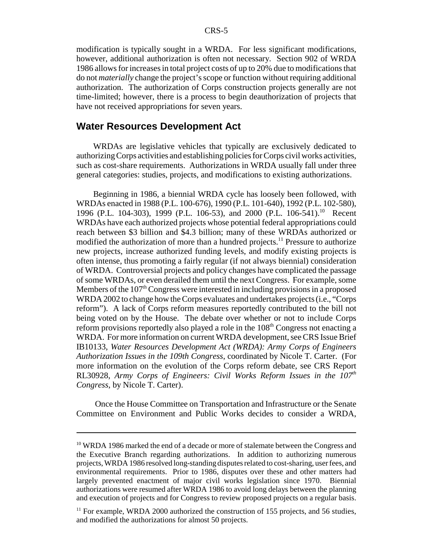modification is typically sought in a WRDA. For less significant modifications, however, additional authorization is often not necessary. Section 902 of WRDA 1986 allows for increases in total project costs of up to 20% due to modifications that do not *materially* change the project's scope or function without requiring additional authorization. The authorization of Corps construction projects generally are not time-limited; however, there is a process to begin deauthorization of projects that have not received appropriations for seven years.

#### **Water Resources Development Act**

WRDAs are legislative vehicles that typically are exclusively dedicated to authorizing Corps activities and establishing policies for Corps civil works activities, such as cost-share requirements. Authorizations in WRDA usually fall under three general categories: studies, projects, and modifications to existing authorizations.

Beginning in 1986, a biennial WRDA cycle has loosely been followed, with WRDAs enacted in 1988 (P.L. 100-676), 1990 (P.L. 101-640), 1992 (P.L. 102-580), 1996 (P.L. 104-303), 1999 (P.L. 106-53), and 2000 (P.L. 106-541).<sup>10</sup> Recent WRDAs have each authorized projects whose potential federal appropriations could reach between \$3 billion and \$4.3 billion; many of these WRDAs authorized or modified the authorization of more than a hundred projects.<sup>11</sup> Pressure to authorize new projects, increase authorized funding levels, and modify existing projects is often intense, thus promoting a fairly regular (if not always biennial) consideration of WRDA. Controversial projects and policy changes have complicated the passage of some WRDAs, or even derailed them until the next Congress. For example, some Members of the  $107<sup>th</sup>$  Congress were interested in including provisions in a proposed WRDA 2002 to change how the Corps evaluates and undertakes projects (i.e., "Corps reform"). A lack of Corps reform measures reportedly contributed to the bill not being voted on by the House. The debate over whether or not to include Corps reform provisions reportedly also played a role in the  $108<sup>th</sup>$  Congress not enacting a WRDA. For more information on current WRDA development, see CRS Issue Brief IB10133, *Water Resources Development Act (WRDA): Army Corps of Engineers Authorization Issues in the 109th Congress*, coordinated by Nicole T. Carter. (For more information on the evolution of the Corps reform debate, see CRS Report RL30928, *Army Corps of Engineers: Civil Works Reform Issues in the 107th Congress*, by Nicole T. Carter).

 Once the House Committee on Transportation and Infrastructure or the Senate Committee on Environment and Public Works decides to consider a WRDA,

 $10$  WRDA 1986 marked the end of a decade or more of stalemate between the Congress and the Executive Branch regarding authorizations. In addition to authorizing numerous projects, WRDA 1986 resolved long-standing disputes related to cost-sharing, user fees, and environmental requirements. Prior to 1986, disputes over these and other matters had largely prevented enactment of major civil works legislation since 1970. Biennial authorizations were resumed after WRDA 1986 to avoid long delays between the planning and execution of projects and for Congress to review proposed projects on a regular basis.

 $11$  For example, WRDA 2000 authorized the construction of 155 projects, and 56 studies, and modified the authorizations for almost 50 projects.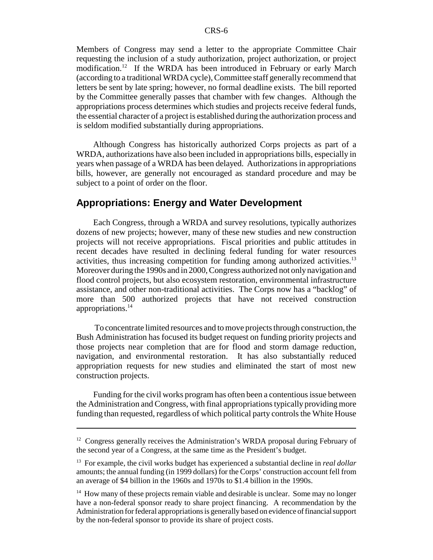Members of Congress may send a letter to the appropriate Committee Chair requesting the inclusion of a study authorization, project authorization, or project modification.<sup>12</sup> If the WRDA has been introduced in February or early March (according to a traditional WRDA cycle), Committee staff generally recommend that letters be sent by late spring; however, no formal deadline exists. The bill reported by the Committee generally passes that chamber with few changes. Although the appropriations process determines which studies and projects receive federal funds, the essential character of a project is established during the authorization process and is seldom modified substantially during appropriations.

Although Congress has historically authorized Corps projects as part of a WRDA, authorizations have also been included in appropriations bills, especially in years when passage of a WRDA has been delayed. Authorizations in appropriations bills, however, are generally not encouraged as standard procedure and may be subject to a point of order on the floor.

#### **Appropriations: Energy and Water Development**

Each Congress, through a WRDA and survey resolutions, typically authorizes dozens of new projects; however, many of these new studies and new construction projects will not receive appropriations. Fiscal priorities and public attitudes in recent decades have resulted in declining federal funding for water resources activities, thus increasing competition for funding among authorized activities.13 Moreover during the 1990s and in 2000, Congress authorized not only navigation and flood control projects, but also ecosystem restoration, environmental infrastructure assistance, and other non-traditional activities. The Corps now has a "backlog" of more than 500 authorized projects that have not received construction appropriations.14

 To concentrate limited resources and to move projects through construction, the Bush Administration has focused its budget request on funding priority projects and those projects near completion that are for flood and storm damage reduction, navigation, and environmental restoration. It has also substantially reduced appropriation requests for new studies and eliminated the start of most new construction projects.

Funding for the civil works program has often been a contentious issue between the Administration and Congress, with final appropriations typically providing more funding than requested, regardless of which political party controls the White House

<sup>&</sup>lt;sup>12</sup> Congress generally receives the Administration's WRDA proposal during February of the second year of a Congress, at the same time as the President's budget.

<sup>13</sup> For example, the civil works budget has experienced a substantial decline in *real dollar* amounts; the annual funding (in 1999 dollars) for the Corps' construction account fell from an average of \$4 billion in the 1960s and 1970s to \$1.4 billion in the 1990s.

<sup>&</sup>lt;sup>14</sup> How many of these projects remain viable and desirable is unclear. Some may no longer have a non-federal sponsor ready to share project financing. A recommendation by the Administration for federal appropriations is generally based on evidence of financial support by the non-federal sponsor to provide its share of project costs.